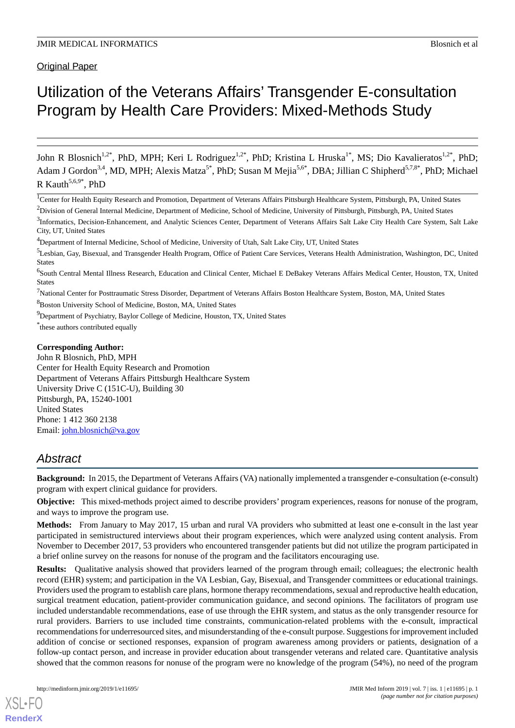**Original Paper** 

# Utilization of the Veterans Affairs' Transgender E-consultation Program by Health Care Providers: Mixed-Methods Study

John R Blosnich<sup>1,2\*</sup>, PhD, MPH; Keri L Rodriguez<sup>1,2\*</sup>, PhD; Kristina L Hruska<sup>1\*</sup>, MS; Dio Kavalieratos<sup>1,2\*</sup>, PhD; Adam J Gordon<sup>3,4</sup>, MD, MPH; Alexis Matza<sup>5\*</sup>, PhD; Susan M Mejia<sup>5,6\*</sup>, DBA; Jillian C Shipherd<sup>5,7,8\*</sup>, PhD; Michael R Kauth<sup>5,6,9\*</sup>, PhD

<sup>7</sup>National Center for Posttraumatic Stress Disorder, Department of Veterans Affairs Boston Healthcare System, Boston, MA, United States

<sup>8</sup>Boston University School of Medicine, Boston, MA, United States

 $9D$ Pepartment of Psychiatry, Baylor College of Medicine, Houston, TX, United States

\* these authors contributed equally

#### **Corresponding Author:**

John R Blosnich, PhD, MPH Center for Health Equity Research and Promotion Department of Veterans Affairs Pittsburgh Healthcare System University Drive C (151C-U), Building 30 Pittsburgh, PA, 15240-1001 United States Phone: 1 412 360 2138 Email: [john.blosnich@va.gov](mailto:john.blosnich@va.gov)

# *Abstract*

**Background:** In 2015, the Department of Veterans Affairs (VA) nationally implemented a transgender e-consultation (e-consult) program with expert clinical guidance for providers.

**Objective:** This mixed-methods project aimed to describe providers' program experiences, reasons for nonuse of the program, and ways to improve the program use.

**Methods:** From January to May 2017, 15 urban and rural VA providers who submitted at least one e-consult in the last year participated in semistructured interviews about their program experiences, which were analyzed using content analysis. From November to December 2017, 53 providers who encountered transgender patients but did not utilize the program participated in a brief online survey on the reasons for nonuse of the program and the facilitators encouraging use.

**Results:** Qualitative analysis showed that providers learned of the program through email; colleagues; the electronic health record (EHR) system; and participation in the VA Lesbian, Gay, Bisexual, and Transgender committees or educational trainings. Providers used the program to establish care plans, hormone therapy recommendations, sexual and reproductive health education, surgical treatment education, patient-provider communication guidance, and second opinions. The facilitators of program use included understandable recommendations, ease of use through the EHR system, and status as the only transgender resource for rural providers. Barriers to use included time constraints, communication-related problems with the e-consult, impractical recommendations for underresourced sites, and misunderstanding of the e-consult purpose. Suggestions for improvement included addition of concise or sectioned responses, expansion of program awareness among providers or patients, designation of a follow-up contact person, and increase in provider education about transgender veterans and related care. Quantitative analysis showed that the common reasons for nonuse of the program were no knowledge of the program (54%), no need of the program

[XSL](http://www.w3.org/Style/XSL)•FO **[RenderX](http://www.renderx.com/)**

<sup>&</sup>lt;sup>1</sup>Center for Health Equity Research and Promotion, Department of Veterans Affairs Pittsburgh Healthcare System, Pittsburgh, PA, United States

<sup>&</sup>lt;sup>2</sup>Division of General Internal Medicine, Department of Medicine, School of Medicine, University of Pittsburgh, Pittsburgh, PA, United States

<sup>&</sup>lt;sup>3</sup>Informatics, Decision-Enhancement, and Analytic Sciences Center, Department of Veterans Affairs Salt Lake City Health Care System, Salt Lake City, UT, United States

<sup>4</sup>Department of Internal Medicine, School of Medicine, University of Utah, Salt Lake City, UT, United States

<sup>&</sup>lt;sup>5</sup>Lesbian, Gay, Bisexual, and Transgender Health Program, Office of Patient Care Services, Veterans Health Administration, Washington, DC, United States

<sup>&</sup>lt;sup>6</sup>South Central Mental Illness Research, Education and Clinical Center, Michael E DeBakey Veterans Affairs Medical Center, Houston, TX, United States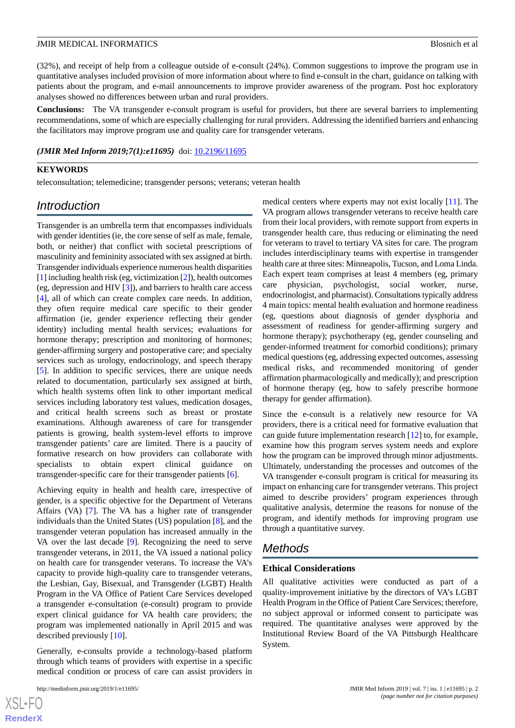(32%), and receipt of help from a colleague outside of e-consult (24%). Common suggestions to improve the program use in quantitative analyses included provision of more information about where to find e-consult in the chart, guidance on talking with patients about the program, and e-mail announcements to improve provider awareness of the program. Post hoc exploratory analyses showed no differences between urban and rural providers.

**Conclusions:** The VA transgender e-consult program is useful for providers, but there are several barriers to implementing recommendations, some of which are especially challenging for rural providers. Addressing the identified barriers and enhancing the facilitators may improve program use and quality care for transgender veterans.

#### *(JMIR Med Inform 2019;7(1):e11695)* doi:  $10.2196/11695$

#### **KEYWORDS**

teleconsultation; telemedicine; transgender persons; veterans; veteran health

# *Introduction*

Transgender is an umbrella term that encompasses individuals with gender identities (ie, the core sense of self as male, female, both, or neither) that conflict with societal prescriptions of masculinity and femininity associated with sex assigned at birth. Transgender individuals experience numerous health disparities [[1\]](#page-11-0) including health risk (eg, victimization [[2\]](#page-11-1)), health outcomes (eg, depression and HIV [[3\]](#page-11-2)), and barriers to health care access [[4\]](#page-11-3), all of which can create complex care needs. In addition, they often require medical care specific to their gender affirmation (ie, gender experience reflecting their gender identity) including mental health services; evaluations for hormone therapy; prescription and monitoring of hormones; gender-affirming surgery and postoperative care; and specialty services such as urology, endocrinology, and speech therapy [[5\]](#page-11-4). In addition to specific services, there are unique needs related to documentation, particularly sex assigned at birth, which health systems often link to other important medical services including laboratory test values, medication dosages, and critical health screens such as breast or prostate examinations. Although awareness of care for transgender patients is growing, health system-level efforts to improve transgender patients' care are limited. There is a paucity of formative research on how providers can collaborate with specialists to obtain expert clinical guidance on transgender-specific care for their transgender patients [[6\]](#page-11-5).

Achieving equity in health and health care, irrespective of gender, is a specific objective for the Department of Veterans Affairs (VA) [[7\]](#page-11-6). The VA has a higher rate of transgender individuals than the United States (US) population [\[8](#page-11-7)], and the transgender veteran population has increased annually in the VA over the last decade [\[9](#page-11-8)]. Recognizing the need to serve transgender veterans, in 2011, the VA issued a national policy on health care for transgender veterans. To increase the VA's capacity to provide high-quality care to transgender veterans, the Lesbian, Gay, Bisexual, and Transgender (LGBT) Health Program in the VA Office of Patient Care Services developed a transgender e-consultation (e-consult) program to provide expert clinical guidance for VA health care providers; the program was implemented nationally in April 2015 and was described previously [\[10](#page-11-9)].

Generally, e-consults provide a technology-based platform through which teams of providers with expertise in a specific medical condition or process of care can assist providers in

 $XS$ -FO **[RenderX](http://www.renderx.com/)** medical centers where experts may not exist locally [[11\]](#page-11-10). The VA program allows transgender veterans to receive health care from their local providers, with remote support from experts in transgender health care, thus reducing or eliminating the need for veterans to travel to tertiary VA sites for care. The program includes interdisciplinary teams with expertise in transgender health care at three sites: Minneapolis, Tucson, and Loma Linda. Each expert team comprises at least 4 members (eg, primary care physician, psychologist, social worker, nurse, endocrinologist, and pharmacist). Consultations typically address 4 main topics: mental health evaluation and hormone readiness (eg, questions about diagnosis of gender dysphoria and assessment of readiness for gender-affirming surgery and hormone therapy); psychotherapy (eg, gender counseling and gender-informed treatment for comorbid conditions); primary medical questions (eg, addressing expected outcomes, assessing medical risks, and recommended monitoring of gender affirmation pharmacologically and medically); and prescription of hormone therapy (eg, how to safely prescribe hormone therapy for gender affirmation).

Since the e-consult is a relatively new resource for VA providers, there is a critical need for formative evaluation that can guide future implementation research [\[12](#page-11-11)] to, for example, examine how this program serves system needs and explore how the program can be improved through minor adjustments. Ultimately, understanding the processes and outcomes of the VA transgender e-consult program is critical for measuring its impact on enhancing care for transgender veterans. This project aimed to describe providers' program experiences through qualitative analysis, determine the reasons for nonuse of the program, and identify methods for improving program use through a quantitative survey.

# *Methods*

#### **Ethical Considerations**

All qualitative activities were conducted as part of a quality-improvement initiative by the directors of VA's LGBT Health Program in the Office of Patient Care Services; therefore, no subject approval or informed consent to participate was required. The quantitative analyses were approved by the Institutional Review Board of the VA Pittsburgh Healthcare System.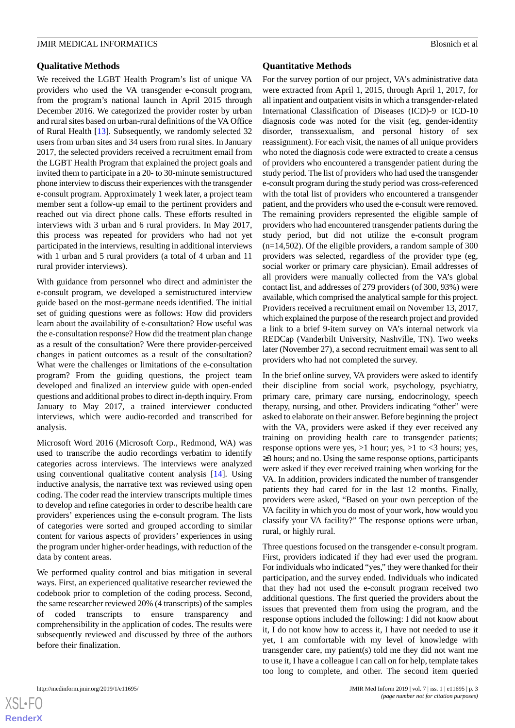#### **Qualitative Methods**

We received the LGBT Health Program's list of unique VA providers who used the VA transgender e-consult program, from the program's national launch in April 2015 through December 2016. We categorized the provider roster by urban and rural sites based on urban-rural definitions of the VA Office of Rural Health [\[13](#page-11-12)]. Subsequently, we randomly selected 32 users from urban sites and 34 users from rural sites. In January 2017, the selected providers received a recruitment email from the LGBT Health Program that explained the project goals and invited them to participate in a 20- to 30-minute semistructured phone interview to discuss their experiences with the transgender e-consult program. Approximately 1 week later, a project team member sent a follow-up email to the pertinent providers and reached out via direct phone calls. These efforts resulted in interviews with 3 urban and 6 rural providers. In May 2017, this process was repeated for providers who had not yet participated in the interviews, resulting in additional interviews with 1 urban and 5 rural providers (a total of 4 urban and 11 rural provider interviews).

With guidance from personnel who direct and administer the e-consult program, we developed a semistructured interview guide based on the most-germane needs identified. The initial set of guiding questions were as follows: How did providers learn about the availability of e-consultation? How useful was the e-consultation response? How did the treatment plan change as a result of the consultation? Were there provider-perceived changes in patient outcomes as a result of the consultation? What were the challenges or limitations of the e-consultation program? From the guiding questions, the project team developed and finalized an interview guide with open-ended questions and additional probes to direct in-depth inquiry. From January to May 2017, a trained interviewer conducted interviews, which were audio-recorded and transcribed for analysis.

Microsoft Word 2016 (Microsoft Corp., Redmond, WA) was used to transcribe the audio recordings verbatim to identify categories across interviews. The interviews were analyzed using conventional qualitative content analysis [[14\]](#page-11-13). Using inductive analysis, the narrative text was reviewed using open coding. The coder read the interview transcripts multiple times to develop and refine categories in order to describe health care providers' experiences using the e-consult program. The lists of categories were sorted and grouped according to similar content for various aspects of providers' experiences in using the program under higher-order headings, with reduction of the data by content areas.

We performed quality control and bias mitigation in several ways. First, an experienced qualitative researcher reviewed the codebook prior to completion of the coding process. Second, the same researcher reviewed 20% (4 transcripts) of the samples of coded transcripts to ensure transparency and comprehensibility in the application of codes. The results were subsequently reviewed and discussed by three of the authors before their finalization.

#### **Quantitative Methods**

For the survey portion of our project, VA's administrative data were extracted from April 1, 2015, through April 1, 2017, for all inpatient and outpatient visits in which a transgender-related International Classification of Diseases (ICD)-9 or ICD-10 diagnosis code was noted for the visit (eg, gender-identity disorder, transsexualism, and personal history of sex reassignment). For each visit, the names of all unique providers who noted the diagnosis code were extracted to create a census of providers who encountered a transgender patient during the study period. The list of providers who had used the transgender e-consult program during the study period was cross-referenced with the total list of providers who encountered a transgender patient, and the providers who used the e-consult were removed. The remaining providers represented the eligible sample of providers who had encountered transgender patients during the study period, but did not utilize the e-consult program  $(n=14,502)$ . Of the eligible providers, a random sample of 300 providers was selected, regardless of the provider type (eg, social worker or primary care physician). Email addresses of all providers were manually collected from the VA's global contact list, and addresses of 279 providers (of 300, 93%) were available, which comprised the analytical sample for this project. Providers received a recruitment email on November 13, 2017, which explained the purpose of the research project and provided a link to a brief 9-item survey on VA's internal network via REDCap (Vanderbilt University, Nashville, TN). Two weeks later (November 27), a second recruitment email was sent to all providers who had not completed the survey.

In the brief online survey, VA providers were asked to identify their discipline from social work, psychology, psychiatry, primary care, primary care nursing, endocrinology, speech therapy, nursing, and other. Providers indicating "other" were asked to elaborate on their answer. Before beginning the project with the VA, providers were asked if they ever received any training on providing health care to transgender patients; response options were yes, >1 hour; yes, >1 to <3 hours; yes, ≥3 hours; and no. Using the same response options, participants were asked if they ever received training when working for the VA. In addition, providers indicated the number of transgender patients they had cared for in the last 12 months. Finally, providers were asked, "Based on your own perception of the VA facility in which you do most of your work, how would you classify your VA facility?" The response options were urban, rural, or highly rural.

Three questions focused on the transgender e-consult program. First, providers indicated if they had ever used the program. For individuals who indicated "yes," they were thanked for their participation, and the survey ended. Individuals who indicated that they had not used the e-consult program received two additional questions. The first queried the providers about the issues that prevented them from using the program, and the response options included the following: I did not know about it, I do not know how to access it, I have not needed to use it yet, I am comfortable with my level of knowledge with transgender care, my patient(s) told me they did not want me to use it, I have a colleague I can call on for help, template takes too long to complete, and other. The second item queried

 $XS$ -FO **[RenderX](http://www.renderx.com/)**

http://medinform.jmir.org/2019/1/e11695/ JMIR Med Inform 2019 | vol. 7 | iss. 1 | e11695 | p. 3 *(page number not for citation purposes)*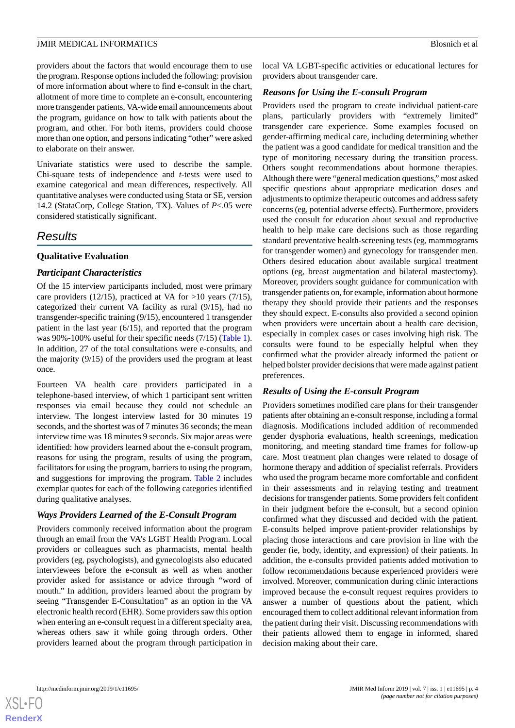providers about the factors that would encourage them to use the program. Response options included the following: provision of more information about where to find e-consult in the chart, allotment of more time to complete an e-consult, encountering more transgender patients, VA-wide email announcements about the program, guidance on how to talk with patients about the program, and other. For both items, providers could choose more than one option, and persons indicating "other" were asked to elaborate on their answer.

Univariate statistics were used to describe the sample. Chi-square tests of independence and *t*-tests were used to examine categorical and mean differences, respectively. All quantitative analyses were conducted using Stata or SE, version 14.2 (StataCorp, College Station, TX). Values of *P*<.05 were considered statistically significant.

# *Results*

# **Qualitative Evaluation**

# *Participant Characteristics*

Of the 15 interview participants included, most were primary care providers (12/15), practiced at VA for >10 years (7/15), categorized their current VA facility as rural (9/15), had no transgender-specific training (9/15), encountered 1 transgender patient in the last year (6/15), and reported that the program was 90%-100% useful for their specific needs (7/15) ([Table 1\)](#page-4-0). In addition, 27 of the total consultations were e-consults, and the majority (9/15) of the providers used the program at least once.

Fourteen VA health care providers participated in a telephone-based interview, of which 1 participant sent written responses via email because they could not schedule an interview. The longest interview lasted for 30 minutes 19 seconds, and the shortest was of 7 minutes 36 seconds; the mean interview time was 18 minutes 9 seconds. Six major areas were identified: how providers learned about the e-consult program, reasons for using the program, results of using the program, facilitators for using the program, barriers to using the program, and suggestions for improving the program. [Table 2](#page-5-0) includes exemplar quotes for each of the following categories identified during qualitative analyses.

# *Ways Providers Learned of the E-Consult Program*

Providers commonly received information about the program through an email from the VA's LGBT Health Program. Local providers or colleagues such as pharmacists, mental health providers (eg, psychologists), and gynecologists also educated interviewees before the e-consult as well as when another provider asked for assistance or advice through "word of mouth." In addition, providers learned about the program by seeing "Transgender E-Consultation" as an option in the VA electronic health record (EHR). Some providers saw this option when entering an e-consult request in a different specialty area, whereas others saw it while going through orders. Other providers learned about the program through participation in

local VA LGBT-specific activities or educational lectures for providers about transgender care.

# *Reasons for Using the E-consult Program*

Providers used the program to create individual patient-care plans, particularly providers with "extremely limited" transgender care experience. Some examples focused on gender-affirming medical care, including determining whether the patient was a good candidate for medical transition and the type of monitoring necessary during the transition process. Others sought recommendations about hormone therapies. Although there were "general medication questions," most asked specific questions about appropriate medication doses and adjustments to optimize therapeutic outcomes and address safety concerns (eg, potential adverse effects). Furthermore, providers used the consult for education about sexual and reproductive health to help make care decisions such as those regarding standard preventative health-screening tests (eg, mammograms for transgender women) and gynecology for transgender men. Others desired education about available surgical treatment options (eg, breast augmentation and bilateral mastectomy). Moreover, providers sought guidance for communication with transgender patients on, for example, information about hormone therapy they should provide their patients and the responses they should expect. E-consults also provided a second opinion when providers were uncertain about a health care decision, especially in complex cases or cases involving high risk. The consults were found to be especially helpful when they confirmed what the provider already informed the patient or helped bolster provider decisions that were made against patient preferences.

# *Results of Using the E-consult Program*

Providers sometimes modified care plans for their transgender patients after obtaining an e-consult response, including a formal diagnosis. Modifications included addition of recommended gender dysphoria evaluations, health screenings, medication monitoring, and meeting standard time frames for follow-up care. Most treatment plan changes were related to dosage of hormone therapy and addition of specialist referrals. Providers who used the program became more comfortable and confident in their assessments and in relaying testing and treatment decisions for transgender patients. Some providers felt confident in their judgment before the e-consult, but a second opinion confirmed what they discussed and decided with the patient. E-consults helped improve patient-provider relationships by placing those interactions and care provision in line with the gender (ie, body, identity, and expression) of their patients. In addition, the e-consults provided patients added motivation to follow recommendations because experienced providers were involved. Moreover, communication during clinic interactions improved because the e-consult request requires providers to answer a number of questions about the patient, which encouraged them to collect additional relevant information from the patient during their visit. Discussing recommendations with their patients allowed them to engage in informed, shared decision making about their care.

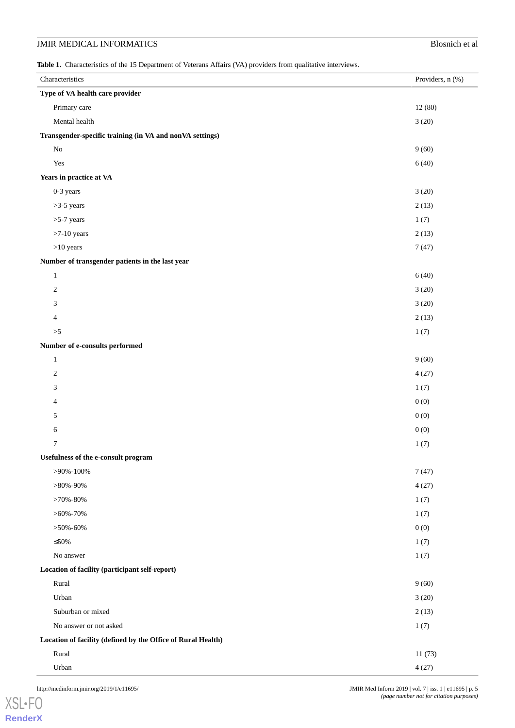# **JMIR MEDICAL INFORMATICS** Blosnich et al

<span id="page-4-0"></span>Table 1. Characteristics of the 15 Department of Veterans Affairs (VA) providers from qualitative interviews.

| Characteristics                                              | Providers, n (%) |
|--------------------------------------------------------------|------------------|
| Type of VA health care provider                              |                  |
| Primary care                                                 | 12(80)           |
| Mental health                                                | 3(20)            |
| Transgender-specific training (in VA and nonVA settings)     |                  |
| $\rm No$                                                     | 9(60)            |
| Yes                                                          | 6(40)            |
| Years in practice at VA                                      |                  |
| 0-3 years                                                    | 3(20)            |
| $>3-5$ years                                                 | 2(13)            |
| $>5-7$ years                                                 | 1(7)             |
| $>7-10$ years                                                | 2(13)            |
| $>10$ years                                                  | 7(47)            |
| Number of transgender patients in the last year              |                  |
| $\mathbf{1}$                                                 | 6(40)            |
| $\overline{c}$                                               | 3(20)            |
| 3                                                            | 3(20)            |
| 4                                                            | 2(13)            |
| $>\!\!5$                                                     | 1(7)             |
| Number of e-consults performed                               |                  |
| $\mathbf{1}$                                                 | 9(60)            |
| $\overline{c}$                                               | 4(27)            |
| 3                                                            | 1(7)             |
| 4                                                            | 0(0)             |
| 5                                                            | 0(0)             |
| 6                                                            | 0(0)             |
| 7                                                            | 1(7)             |
| Usefulness of the e-consult program                          |                  |
| $>90\% - 100\%$                                              | 7(47)            |
| $>80\% - 90\%$                                               | 4(27)            |
| $>70\% - 80\%$                                               | 1(7)             |
| $>$ 60%-70%                                                  | 1(7)             |
| $>50\% - 60\%$                                               | 0(0)             |
| $\leq 50\%$                                                  | 1(7)             |
| No answer                                                    | 1(7)             |
| Location of facility (participant self-report)               |                  |
| Rural                                                        | 9(60)            |
| Urban                                                        | 3(20)            |
| Suburban or mixed                                            | 2(13)            |
| No answer or not asked                                       | 1(7)             |
| Location of facility (defined by the Office of Rural Health) |                  |
| Rural                                                        | 11(73)           |
| Urban                                                        | 4(27)            |

[XSL](http://www.w3.org/Style/XSL)•FO **[RenderX](http://www.renderx.com/)**

http://medinform.jmir.org/2019/1/e11695/ JMIR Med Inform 2019 | vol. 7 | iss. 1 | e11695 | p. 5 *(page number not for citation purposes)*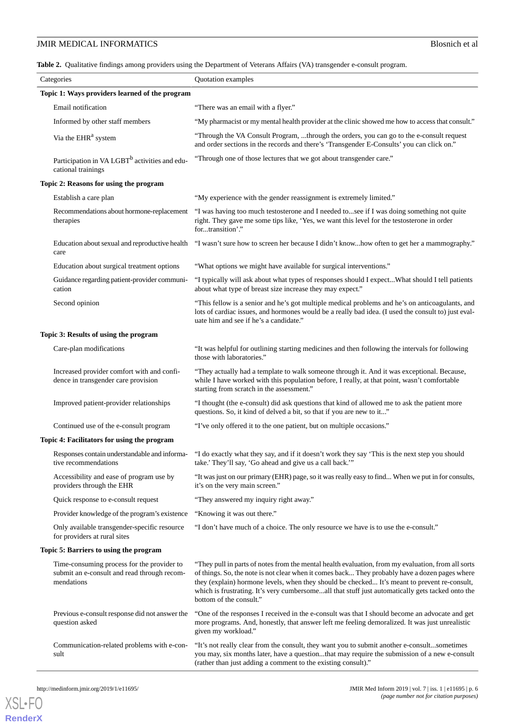# **JMIR MEDICAL INFORMATICS** Blosnich et al

<span id="page-5-0"></span>**Table 2.** Qualitative findings among providers using the Department of Veterans Affairs (VA) transgender e-consult program.

| Categories                                                                                              | Quotation examples                                                                                                                                                                                                                                                                                                                                                                                                                  |  |  |  |
|---------------------------------------------------------------------------------------------------------|-------------------------------------------------------------------------------------------------------------------------------------------------------------------------------------------------------------------------------------------------------------------------------------------------------------------------------------------------------------------------------------------------------------------------------------|--|--|--|
| Topic 1: Ways providers learned of the program                                                          |                                                                                                                                                                                                                                                                                                                                                                                                                                     |  |  |  |
| Email notification                                                                                      | "There was an email with a flyer."                                                                                                                                                                                                                                                                                                                                                                                                  |  |  |  |
| Informed by other staff members                                                                         | "My pharmacist or my mental health provider at the clinic showed me how to access that consult."                                                                                                                                                                                                                                                                                                                                    |  |  |  |
| Via the EHR <sup>a</sup> system                                                                         | "Through the VA Consult Program, through the orders, you can go to the e-consult request<br>and order sections in the records and there's 'Transgender E-Consults' you can click on."                                                                                                                                                                                                                                               |  |  |  |
| Participation in VA LGBT <sup>b</sup> activities and edu-<br>cational trainings                         | "Through one of those lectures that we got about transgender care."                                                                                                                                                                                                                                                                                                                                                                 |  |  |  |
| Topic 2: Reasons for using the program                                                                  |                                                                                                                                                                                                                                                                                                                                                                                                                                     |  |  |  |
| Establish a care plan                                                                                   | "My experience with the gender reassignment is extremely limited."                                                                                                                                                                                                                                                                                                                                                                  |  |  |  |
| Recommendations about hormone-replacement<br>therapies                                                  | "I was having too much testosterone and I needed tosee if I was doing something not quite<br>right. They gave me some tips like, 'Yes, we want this level for the testosterone in order<br>fortransition'."                                                                                                                                                                                                                         |  |  |  |
| Education about sexual and reproductive health<br>care                                                  | "I wasn't sure how to screen her because I didn't knowhow often to get her a mammography."                                                                                                                                                                                                                                                                                                                                          |  |  |  |
| Education about surgical treatment options                                                              | "What options we might have available for surgical interventions."                                                                                                                                                                                                                                                                                                                                                                  |  |  |  |
| Guidance regarding patient-provider communi-<br>cation                                                  | "I typically will ask about what types of responses should I expectWhat should I tell patients<br>about what type of breast size increase they may expect."                                                                                                                                                                                                                                                                         |  |  |  |
| Second opinion                                                                                          | "This fellow is a senior and he's got multiple medical problems and he's on anticoagulants, and<br>lots of cardiac issues, and hormones would be a really bad idea. (I used the consult to) just eval-<br>uate him and see if he's a candidate."                                                                                                                                                                                    |  |  |  |
| Topic 3: Results of using the program                                                                   |                                                                                                                                                                                                                                                                                                                                                                                                                                     |  |  |  |
| Care-plan modifications                                                                                 | "It was helpful for outlining starting medicines and then following the intervals for following<br>those with laboratories."                                                                                                                                                                                                                                                                                                        |  |  |  |
| Increased provider comfort with and confi-<br>dence in transgender care provision                       | "They actually had a template to walk someone through it. And it was exceptional. Because,<br>while I have worked with this population before, I really, at that point, wasn't comfortable<br>starting from scratch in the assessment."                                                                                                                                                                                             |  |  |  |
| Improved patient-provider relationships                                                                 | "I thought (the e-consult) did ask questions that kind of allowed me to ask the patient more<br>questions. So, it kind of delved a bit, so that if you are new to it"                                                                                                                                                                                                                                                               |  |  |  |
| Continued use of the e-consult program                                                                  | "I've only offered it to the one patient, but on multiple occasions."                                                                                                                                                                                                                                                                                                                                                               |  |  |  |
| Topic 4: Facilitators for using the program                                                             |                                                                                                                                                                                                                                                                                                                                                                                                                                     |  |  |  |
| Responses contain understandable and informa-<br>tive recommendations                                   | "I do exactly what they say, and if it doesn't work they say 'This is the next step you should<br>take.' They'll say, 'Go ahead and give us a call back.'"                                                                                                                                                                                                                                                                          |  |  |  |
| Accessibility and ease of program use by<br>providers through the EHR                                   | "It was just on our primary (EHR) page, so it was really easy to find When we put in for consults,<br>it's on the very main screen."                                                                                                                                                                                                                                                                                                |  |  |  |
| Quick response to e-consult request                                                                     | "They answered my inquiry right away."                                                                                                                                                                                                                                                                                                                                                                                              |  |  |  |
| Provider knowledge of the program's existence                                                           | "Knowing it was out there."                                                                                                                                                                                                                                                                                                                                                                                                         |  |  |  |
| Only available transgender-specific resource<br>for providers at rural sites                            | "I don't have much of a choice. The only resource we have is to use the e-consult."                                                                                                                                                                                                                                                                                                                                                 |  |  |  |
| Topic 5: Barriers to using the program                                                                  |                                                                                                                                                                                                                                                                                                                                                                                                                                     |  |  |  |
| Time-consuming process for the provider to<br>submit an e-consult and read through recom-<br>mendations | "They pull in parts of notes from the mental health evaluation, from my evaluation, from all sorts<br>of things. So, the note is not clear when it comes back They probably have a dozen pages where<br>they (explain) hormone levels, when they should be checked It's meant to prevent re-consult,<br>which is frustrating. It's very cumbersomeall that stuff just automatically gets tacked onto the<br>bottom of the consult." |  |  |  |
| Previous e-consult response did not answer the<br>question asked                                        | "One of the responses I received in the e-consult was that I should become an advocate and get<br>more programs. And, honestly, that answer left me feeling demoralized. It was just unrealistic<br>given my workload."                                                                                                                                                                                                             |  |  |  |
| Communication-related problems with e-con-<br>sult                                                      | "It's not really clear from the consult, they want you to submit another e-consultsometimes<br>you may, six months later, have a questionthat may require the submission of a new e-consult<br>(rather than just adding a comment to the existing consult)."                                                                                                                                                                        |  |  |  |

[XSL](http://www.w3.org/Style/XSL)•FO **[RenderX](http://www.renderx.com/)**

```
http://medinform.jmir.org/2019/1/e11695/ JMIR Med Inform 2019 | vol. 7 | iss. 1 | e11695 | p. 6
                                                                         (page number not for citation purposes)
```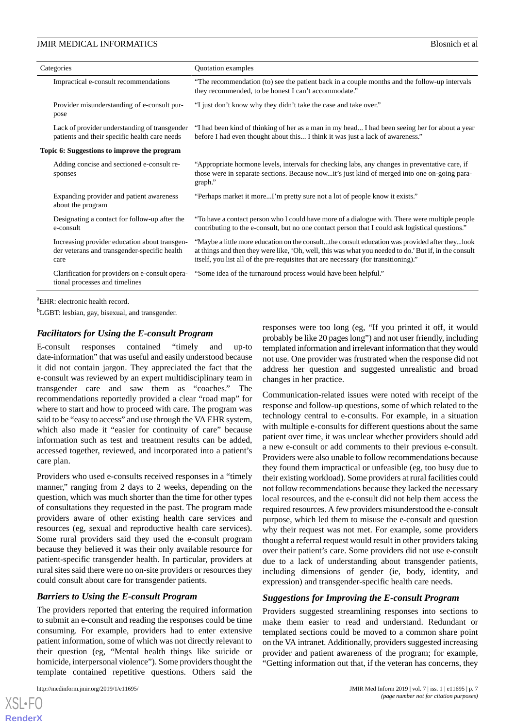| Categories                                  |                                                                                                       | Quotation examples                                                                                                                                                                                                                                                                             |  |  |
|---------------------------------------------|-------------------------------------------------------------------------------------------------------|------------------------------------------------------------------------------------------------------------------------------------------------------------------------------------------------------------------------------------------------------------------------------------------------|--|--|
|                                             | Impractical e-consult recommendations                                                                 | "The recommendation (to) see the patient back in a couple months and the follow-up intervals<br>they recommended, to be honest I can't accommodate."                                                                                                                                           |  |  |
|                                             | Provider misunderstanding of e-consult pur-<br>pose                                                   | "I just don't know why they didn't take the case and take over."                                                                                                                                                                                                                               |  |  |
|                                             | Lack of provider understanding of transgender<br>patients and their specific health care needs        | "I had been kind of thinking of her as a man in my head I had been seeing her for about a year<br>before I had even thought about this I think it was just a lack of awareness."                                                                                                               |  |  |
| Topic 6: Suggestions to improve the program |                                                                                                       |                                                                                                                                                                                                                                                                                                |  |  |
|                                             | Adding concise and sectioned e-consult re-<br>sponses                                                 | "Appropriate hormone levels, intervals for checking labs, any changes in preventative care, if<br>those were in separate sections. Because nowit's just kind of merged into one on-going para-<br>graph."                                                                                      |  |  |
|                                             | Expanding provider and patient awareness<br>about the program                                         | "Perhaps market it moreI'm pretty sure not a lot of people know it exists."                                                                                                                                                                                                                    |  |  |
|                                             | Designating a contact for follow-up after the<br>e-consult                                            | "To have a contact person who I could have more of a dialogue with. There were multiple people<br>contributing to the e-consult, but no one contact person that I could ask logistical questions."                                                                                             |  |  |
|                                             | Increasing provider education about transgen-<br>der veterans and transgender-specific health<br>care | "Maybe a little more education on the consultthe consult education was provided after theylook<br>at things and then they were like, 'Oh, well, this was what you needed to do.' But if, in the consult<br>itself, you list all of the pre-requisites that are necessary (for transitioning)." |  |  |
|                                             | Clarification for providers on e-consult opera-<br>tional processes and timelines                     | "Some idea of the turnaround process would have been helpful."                                                                                                                                                                                                                                 |  |  |
|                                             |                                                                                                       |                                                                                                                                                                                                                                                                                                |  |  |

<sup>a</sup>EHR: electronic health record.

<sup>b</sup>LGBT: lesbian, gay, bisexual, and transgender.

#### *Facilitators for Using the E-consult Program*

E-consult responses contained "timely and up-to date-information" that was useful and easily understood because it did not contain jargon. They appreciated the fact that the e-consult was reviewed by an expert multidisciplinary team in transgender care and saw them as "coaches." The recommendations reportedly provided a clear "road map" for where to start and how to proceed with care. The program was said to be "easy to access" and use through the VA EHR system, which also made it "easier for continuity of care" because information such as test and treatment results can be added, accessed together, reviewed, and incorporated into a patient's care plan.

Providers who used e-consults received responses in a "timely manner," ranging from 2 days to 2 weeks, depending on the question, which was much shorter than the time for other types of consultations they requested in the past. The program made providers aware of other existing health care services and resources (eg, sexual and reproductive health care services). Some rural providers said they used the e-consult program because they believed it was their only available resource for patient-specific transgender health. In particular, providers at rural sites said there were no on-site providers or resources they could consult about care for transgender patients.

#### *Barriers to Using the E-consult Program*

The providers reported that entering the required information to submit an e-consult and reading the responses could be time consuming. For example, providers had to enter extensive patient information, some of which was not directly relevant to their question (eg, "Mental health things like suicide or homicide, interpersonal violence"). Some providers thought the template contained repetitive questions. Others said the

 $XS$  • FO **[RenderX](http://www.renderx.com/)** responses were too long (eg, "If you printed it off, it would probably be like 20 pages long") and not user friendly, including templated information and irrelevant information that they would not use. One provider was frustrated when the response did not address her question and suggested unrealistic and broad changes in her practice.

Communication-related issues were noted with receipt of the response and follow-up questions, some of which related to the technology central to e-consults. For example, in a situation with multiple e-consults for different questions about the same patient over time, it was unclear whether providers should add a new e-consult or add comments to their previous e-consult. Providers were also unable to follow recommendations because they found them impractical or unfeasible (eg, too busy due to their existing workload). Some providers at rural facilities could not follow recommendations because they lacked the necessary local resources, and the e-consult did not help them access the required resources. A few providers misunderstood the e-consult purpose, which led them to misuse the e-consult and question why their request was not met. For example, some providers thought a referral request would result in other providers taking over their patient's care. Some providers did not use e-consult due to a lack of understanding about transgender patients, including dimensions of gender (ie, body, identity, and expression) and transgender-specific health care needs.

#### *Suggestions for Improving the E-consult Program*

Providers suggested streamlining responses into sections to make them easier to read and understand. Redundant or templated sections could be moved to a common share point on the VA intranet. Additionally, providers suggested increasing provider and patient awareness of the program; for example, "Getting information out that, if the veteran has concerns, they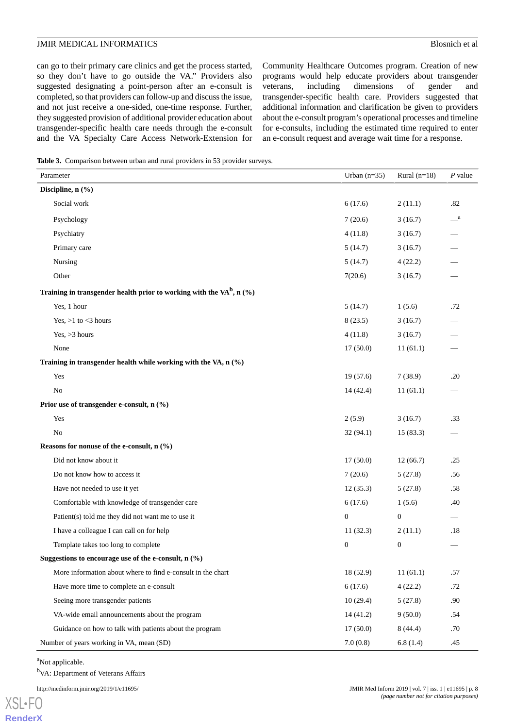can go to their primary care clinics and get the process started, so they don't have to go outside the VA." Providers also suggested designating a point-person after an e-consult is completed, so that providers can follow-up and discuss the issue, and not just receive a one-sided, one-time response. Further, they suggested provision of additional provider education about transgender-specific health care needs through the e-consult and the VA Specialty Care Access Network-Extension for

Community Healthcare Outcomes program. Creation of new programs would help educate providers about transgender veterans, including dimensions of gender and transgender-specific health care. Providers suggested that additional information and clarification be given to providers about the e-consult program's operational processes and timeline for e-consults, including the estimated time required to enter an e-consult request and average wait time for a response.

<span id="page-7-0"></span>**Table 3.** Comparison between urban and rural providers in 53 provider surveys.

| Parameter                                                                  | Urban $(n=35)$ | Rural $(n=18)$   | $P$ value    |  |  |
|----------------------------------------------------------------------------|----------------|------------------|--------------|--|--|
| Discipline, n (%)                                                          |                |                  |              |  |  |
| Social work                                                                | 6(17.6)        | 2(11.1)          | .82          |  |  |
| Psychology                                                                 | 7(20.6)        | 3(16.7)          | $\mathbf{a}$ |  |  |
| Psychiatry                                                                 | 4(11.8)        | 3(16.7)          |              |  |  |
| Primary care                                                               | 5(14.7)        | 3(16.7)          |              |  |  |
| Nursing                                                                    | 5(14.7)        | 4(22.2)          |              |  |  |
| Other                                                                      | 7(20.6)        | 3(16.7)          |              |  |  |
| Training in transgender health prior to working with the VA $^{b}$ , n (%) |                |                  |              |  |  |
| Yes, 1 hour                                                                | 5(14.7)        | 1(5.6)           | .72          |  |  |
| Yes, $>1$ to $<$ 3 hours                                                   | 8(23.5)        | 3(16.7)          |              |  |  |
| Yes, $>3$ hours                                                            | 4(11.8)        | 3(16.7)          |              |  |  |
| None                                                                       | 17(50.0)       | 11(61.1)         |              |  |  |
| Training in transgender health while working with the VA, n (%)            |                |                  |              |  |  |
| Yes                                                                        | 19(57.6)       | 7(38.9)          | .20          |  |  |
| No                                                                         | 14(42.4)       | 11(61.1)         |              |  |  |
| Prior use of transgender e-consult, n (%)                                  |                |                  |              |  |  |
| Yes                                                                        | 2(5.9)         | 3(16.7)          | .33          |  |  |
| N <sub>o</sub>                                                             | 32(94.1)       | 15(83.3)         |              |  |  |
| Reasons for nonuse of the e-consult, n (%)                                 |                |                  |              |  |  |
| Did not know about it                                                      | 17(50.0)       | 12(66.7)         | .25          |  |  |
| Do not know how to access it                                               | 7(20.6)        | 5(27.8)          | .56          |  |  |
| Have not needed to use it yet                                              | 12(35.3)       | 5(27.8)          | .58          |  |  |
| Comfortable with knowledge of transgender care                             | 6(17.6)        | 1(5.6)           | .40          |  |  |
| Patient(s) told me they did not want me to use it                          | $\mathbf{0}$   | $\boldsymbol{0}$ |              |  |  |
| I have a colleague I can call on for help                                  | 11(32.3)       | 2(11.1)          | .18          |  |  |
| Template takes too long to complete                                        | $\mathbf{0}$   | $\mathbf{0}$     |              |  |  |
| Suggestions to encourage use of the e-consult, $n$ (%)                     |                |                  |              |  |  |
| More information about where to find e-consult in the chart                | 18 (52.9)      | 11(61.1)         | .57          |  |  |
| Have more time to complete an e-consult                                    | 6(17.6)        | 4(22.2)          | .72          |  |  |
| Seeing more transgender patients                                           | 10(29.4)       | 5(27.8)          | .90          |  |  |
| VA-wide email announcements about the program                              | 14(41.2)       | 9(50.0)          | .54          |  |  |
| Guidance on how to talk with patients about the program                    | 17(50.0)       | 8(44.4)          | .70          |  |  |
| Number of years working in VA, mean (SD)                                   | 7.0(0.8)       | 6.8(1.4)         | .45          |  |  |

<sup>a</sup>Not applicable.

<sup>b</sup>VA: Department of Veterans Affairs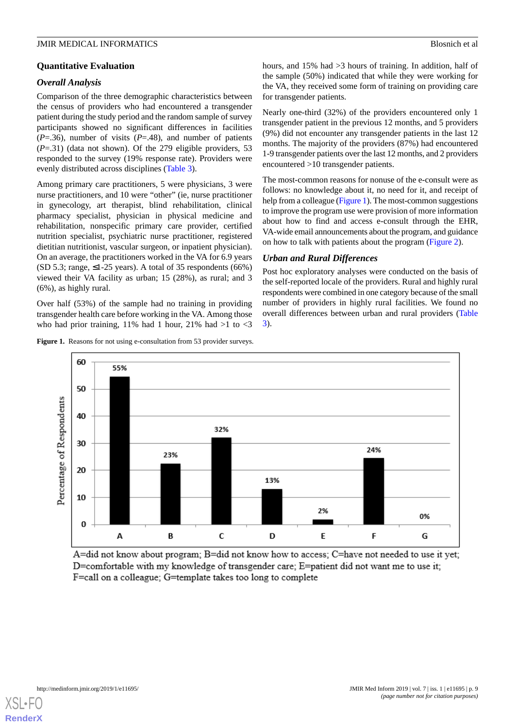# *Overall Analysis*

Comparison of the three demographic characteristics between the census of providers who had encountered a transgender patient during the study period and the random sample of survey participants showed no significant differences in facilities  $(P=0.36)$ , number of visits  $(P=0.48)$ , and number of patients (*P*=.31) (data not shown). Of the 279 eligible providers, 53 responded to the survey (19% response rate). Providers were evenly distributed across disciplines [\(Table 3\)](#page-7-0).

Among primary care practitioners, 5 were physicians, 3 were nurse practitioners, and 10 were "other" (ie, nurse practitioner in gynecology, art therapist, blind rehabilitation, clinical pharmacy specialist, physician in physical medicine and rehabilitation, nonspecific primary care provider, certified nutrition specialist, psychiatric nurse practitioner, registered dietitian nutritionist, vascular surgeon, or inpatient physician). On an average, the practitioners worked in the VA for 6.9 years (SD 5.3; range,  $\leq$ 1-25 years). A total of 35 respondents (66%) viewed their VA facility as urban; 15 (28%), as rural; and 3 (6%), as highly rural.

<span id="page-8-0"></span>Over half (53%) of the sample had no training in providing transgender health care before working in the VA. Among those who had prior training, 11% had 1 hour, 21% had  $>1$  to  $<$ 3



hours, and 15% had > 3 hours of training. In addition, half of the sample (50%) indicated that while they were working for the VA, they received some form of training on providing care for transgender patients.

Nearly one-third (32%) of the providers encountered only 1 transgender patient in the previous 12 months, and 5 providers (9%) did not encounter any transgender patients in the last 12 months. The majority of the providers (87%) had encountered 1-9 transgender patients over the last 12 months, and 2 providers encountered >10 transgender patients.

The most-common reasons for nonuse of the e-consult were as follows: no knowledge about it, no need for it, and receipt of help from a colleague ([Figure 1](#page-8-0)). The most-common suggestions to improve the program use were provision of more information about how to find and access e-consult through the EHR, VA-wide email announcements about the program, and guidance on how to talk with patients about the program [\(Figure 2](#page-9-0)).

# *Urban and Rural Differences*

Post hoc exploratory analyses were conducted on the basis of the self-reported locale of the providers. Rural and highly rural respondents were combined in one category because of the small number of providers in highly rural facilities. We found no overall differences between urban and rural providers ([Table](#page-7-0) [3\)](#page-7-0).



A=did not know about program; B=did not know how to access; C=have not needed to use it yet; D=comfortable with my knowledge of transgender care; E=patient did not want me to use it; F=call on a colleague; G=template takes too long to complete

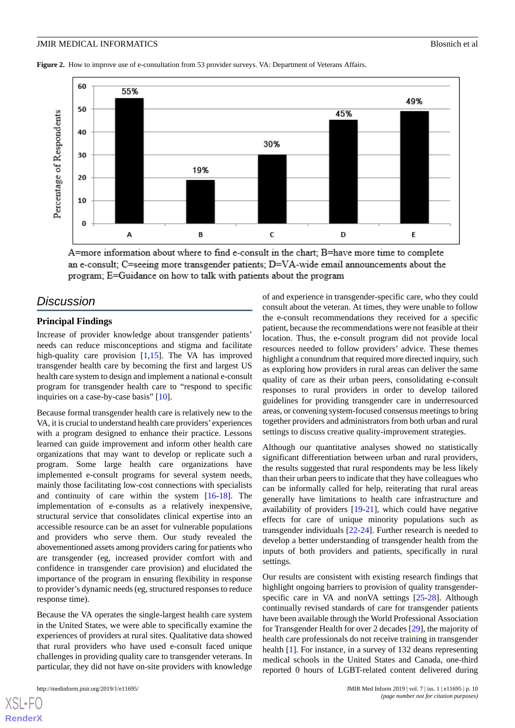<span id="page-9-0"></span>**Figure 2.** How to improve use of e-consultation from 53 provider surveys. VA: Department of Veterans Affairs.



A=more information about where to find e-consult in the chart; B=have more time to complete an e-consult; C=seeing more transgender patients; D=VA-wide email announcements about the program; E=Guidance on how to talk with patients about the program

# *Discussion*

#### **Principal Findings**

Increase of provider knowledge about transgender patients' needs can reduce misconceptions and stigma and facilitate high-quality care provision  $[1,15]$  $[1,15]$  $[1,15]$  $[1,15]$ . The VA has improved transgender health care by becoming the first and largest US health care system to design and implement a national e-consult program for transgender health care to "respond to specific inquiries on a case-by-case basis" [\[10](#page-11-9)].

Because formal transgender health care is relatively new to the VA, it is crucial to understand health care providers' experiences with a program designed to enhance their practice. Lessons learned can guide improvement and inform other health care organizations that may want to develop or replicate such a program. Some large health care organizations have implemented e-consult programs for several system needs, mainly those facilitating low-cost connections with specialists and continuity of care within the system [[16](#page-11-15)[-18](#page-11-16)]. The implementation of e-consults as a relatively inexpensive, structural service that consolidates clinical expertise into an accessible resource can be an asset for vulnerable populations and providers who serve them. Our study revealed the abovementioned assets among providers caring for patients who are transgender (eg, increased provider comfort with and confidence in transgender care provision) and elucidated the importance of the program in ensuring flexibility in response to provider's dynamic needs (eg, structured responses to reduce response time).

Because the VA operates the single-largest health care system in the United States, we were able to specifically examine the experiences of providers at rural sites. Qualitative data showed that rural providers who have used e-consult faced unique challenges in providing quality care to transgender veterans. In particular, they did not have on-site providers with knowledge

[XSL](http://www.w3.org/Style/XSL)•FO **[RenderX](http://www.renderx.com/)**

of and experience in transgender-specific care, who they could consult about the veteran. At times, they were unable to follow the e-consult recommendations they received for a specific patient, because the recommendations were not feasible at their location. Thus, the e-consult program did not provide local resources needed to follow providers' advice. These themes highlight a conundrum that required more directed inquiry, such as exploring how providers in rural areas can deliver the same quality of care as their urban peers, consolidating e-consult responses to rural providers in order to develop tailored guidelines for providing transgender care in underresourced areas, or convening system-focused consensus meetings to bring together providers and administrators from both urban and rural settings to discuss creative quality-improvement strategies.

Although our quantitative analyses showed no statistically significant differentiation between urban and rural providers, the results suggested that rural respondents may be less likely than their urban peers to indicate that they have colleagues who can be informally called for help, reiterating that rural areas generally have limitations to health care infrastructure and availability of providers [\[19](#page-11-17)-[21\]](#page-11-18), which could have negative effects for care of unique minority populations such as transgender individuals [[22-](#page-11-19)[24\]](#page-12-0). Further research is needed to develop a better understanding of transgender health from the inputs of both providers and patients, specifically in rural settings.

Our results are consistent with existing research findings that highlight ongoing barriers to provision of quality transgenderspecific care in VA and nonVA settings [\[25](#page-12-1)[-28](#page-12-2)]. Although continually revised standards of care for transgender patients have been available through the World Professional Association for Transgender Health for over 2 decades [[29\]](#page-12-3), the majority of health care professionals do not receive training in transgender health [\[1](#page-11-0)]. For instance, in a survey of 132 deans representing medical schools in the United States and Canada, one-third reported 0 hours of LGBT-related content delivered during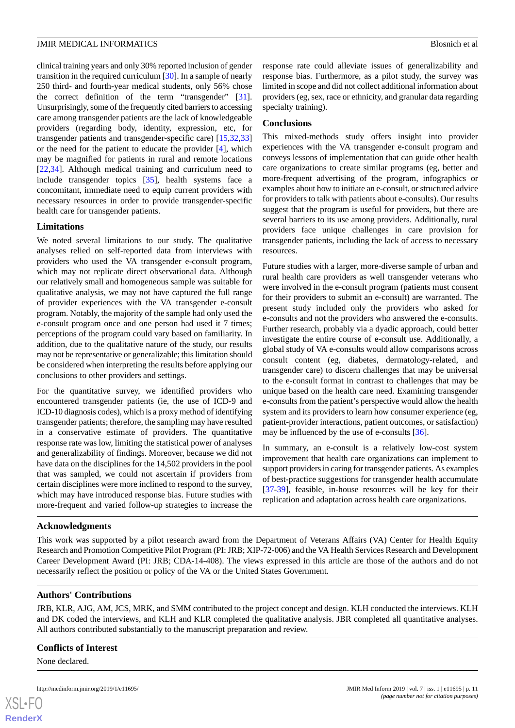clinical training years and only 30% reported inclusion of gender transition in the required curriculum [\[30](#page-12-4)]. In a sample of nearly 250 third- and fourth-year medical students, only 56% chose the correct definition of the term "transgender" [[31\]](#page-12-5). Unsurprisingly, some of the frequently cited barriers to accessing care among transgender patients are the lack of knowledgeable providers (regarding body, identity, expression, etc, for transgender patients and transgender-specific care) [\[15](#page-11-14),[32](#page-12-6)[,33](#page-12-7)] or the need for the patient to educate the provider [\[4](#page-11-3)], which may be magnified for patients in rural and remote locations [[22](#page-11-19)[,34](#page-12-8)]. Although medical training and curriculum need to include transgender topics [\[35](#page-12-9)], health systems face a concomitant, immediate need to equip current providers with necessary resources in order to provide transgender-specific health care for transgender patients.

### **Limitations**

We noted several limitations to our study. The qualitative analyses relied on self-reported data from interviews with providers who used the VA transgender e-consult program, which may not replicate direct observational data. Although our relatively small and homogeneous sample was suitable for qualitative analysis, we may not have captured the full range of provider experiences with the VA transgender e-consult program. Notably, the majority of the sample had only used the e-consult program once and one person had used it 7 times; perceptions of the program could vary based on familiarity. In addition, due to the qualitative nature of the study, our results may not be representative or generalizable; this limitation should be considered when interpreting the results before applying our conclusions to other providers and settings.

For the quantitative survey, we identified providers who encountered transgender patients (ie, the use of ICD-9 and ICD-10 diagnosis codes), which is a proxy method of identifying transgender patients; therefore, the sampling may have resulted in a conservative estimate of providers. The quantitative response rate was low, limiting the statistical power of analyses and generalizability of findings. Moreover, because we did not have data on the disciplines for the 14,502 providers in the pool that was sampled, we could not ascertain if providers from certain disciplines were more inclined to respond to the survey, which may have introduced response bias. Future studies with more-frequent and varied follow-up strategies to increase the

response rate could alleviate issues of generalizability and response bias. Furthermore, as a pilot study, the survey was limited in scope and did not collect additional information about providers (eg, sex, race or ethnicity, and granular data regarding specialty training).

#### **Conclusions**

This mixed-methods study offers insight into provider experiences with the VA transgender e-consult program and conveys lessons of implementation that can guide other health care organizations to create similar programs (eg, better and more-frequent advertising of the program, infographics or examples about how to initiate an e-consult, or structured advice for providers to talk with patients about e-consults). Our results suggest that the program is useful for providers, but there are several barriers to its use among providers. Additionally, rural providers face unique challenges in care provision for transgender patients, including the lack of access to necessary resources.

Future studies with a larger, more-diverse sample of urban and rural health care providers as well transgender veterans who were involved in the e-consult program (patients must consent for their providers to submit an e-consult) are warranted. The present study included only the providers who asked for e-consults and not the providers who answered the e-consults. Further research, probably via a dyadic approach, could better investigate the entire course of e-consult use. Additionally, a global study of VA e-consults would allow comparisons across consult content (eg, diabetes, dermatology-related, and transgender care) to discern challenges that may be universal to the e-consult format in contrast to challenges that may be unique based on the health care need. Examining transgender e-consults from the patient's perspective would allow the health system and its providers to learn how consumer experience (eg, patient-provider interactions, patient outcomes, or satisfaction) may be influenced by the use of e-consults [\[36](#page-12-10)].

In summary, an e-consult is a relatively low-cost system improvement that health care organizations can implement to support providers in caring for transgender patients. As examples of best-practice suggestions for transgender health accumulate [[37](#page-12-11)[-39](#page-12-12)], feasible, in-house resources will be key for their replication and adaptation across health care organizations.

# **Acknowledgments**

This work was supported by a pilot research award from the Department of Veterans Affairs (VA) Center for Health Equity Research and Promotion Competitive Pilot Program (PI: JRB; XIP-72-006) and the VA Health Services Research and Development Career Development Award (PI: JRB; CDA-14-408). The views expressed in this article are those of the authors and do not necessarily reflect the position or policy of the VA or the United States Government.

#### **Authors' Contributions**

JRB, KLR, AJG, AM, JCS, MRK, and SMM contributed to the project concept and design. KLH conducted the interviews. KLH and DK coded the interviews, and KLH and KLR completed the qualitative analysis. JBR completed all quantitative analyses. All authors contributed substantially to the manuscript preparation and review.

#### **Conflicts of Interest**

None declared.

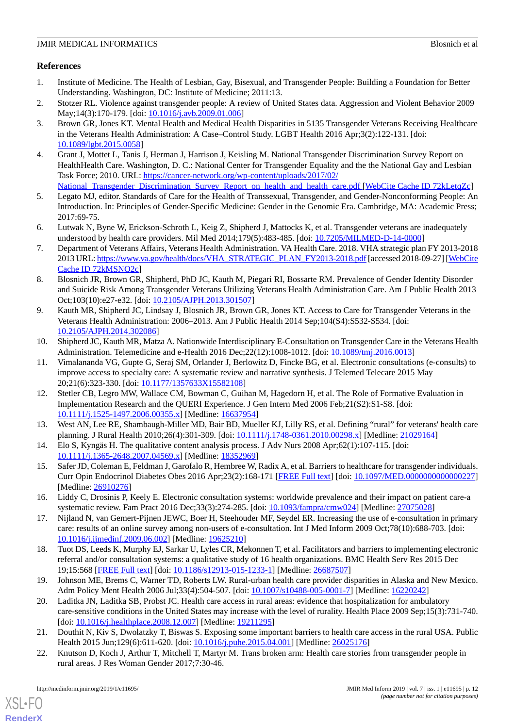# **References**

- <span id="page-11-0"></span>1. Institute of Medicine. The Health of Lesbian, Gay, Bisexual, and Transgender People: Building a Foundation for Better Understanding. Washington, DC: Institute of Medicine; 2011:13.
- <span id="page-11-2"></span><span id="page-11-1"></span>2. Stotzer RL. Violence against transgender people: A review of United States data. Aggression and Violent Behavior 2009 May;14(3):170-179. [doi: [10.1016/j.avb.2009.01.006\]](http://dx.doi.org/10.1016/j.avb.2009.01.006)
- 3. Brown GR, Jones KT. Mental Health and Medical Health Disparities in 5135 Transgender Veterans Receiving Healthcare in the Veterans Health Administration: A Case–Control Study. LGBT Health 2016 Apr;3(2):122-131. [doi: [10.1089/lgbt.2015.0058](http://dx.doi.org/10.1089/lgbt.2015.0058)]
- <span id="page-11-3"></span>4. Grant J, Mottet L, Tanis J, Herman J, Harrison J, Keisling M. National Transgender Discrimination Survey Report on HealthHealth Care. Washington, D. C.: National Center for Transgender Equality and the the National Gay and Lesbian Task Force; 2010. URL: [https://cancer-network.org/wp-content/uploads/2017/02/](https://cancer-network.org/wp-content/uploads/2017/02/National_Transgender_Discrimination_Survey_Report_on_health_and_health_care.pdf ) [National\\_Transgender\\_Discrimination\\_Survey\\_Report\\_on\\_health\\_and\\_health\\_care.pdf](https://cancer-network.org/wp-content/uploads/2017/02/National_Transgender_Discrimination_Survey_Report_on_health_and_health_care.pdf ) [\[WebCite Cache ID 72kLetqZc](http://www.webcitation.org/

                                72kLetqZc)]
- <span id="page-11-5"></span><span id="page-11-4"></span>5. Legato MJ, editor. Standards of Care for the Health of Transsexual, Transgender, and Gender-Nonconforming People: An Introduction. In: Principles of Gender-Specific Medicine: Gender in the Genomic Era. Cambridge, MA: Academic Press; 2017:69-75.
- <span id="page-11-6"></span>6. Lutwak N, Byne W, Erickson-Schroth L, Keig Z, Shipherd J, Mattocks K, et al. Transgender veterans are inadequately understood by health care providers. Mil Med 2014;179(5):483-485. [doi: [10.7205/MILMED-D-14-0000](http://dx.doi.org/10.7205/MILMED-D-14-0000)]
- <span id="page-11-7"></span>7. Department of Veterans Affairs, Veterans Health Administration. VA Health Care. 2018. VHA strategic plan FY 2013-2018 2013 URL: [https://www.va.gov/health/docs/VHA\\_STRATEGIC\\_PLAN\\_FY2013-2018.pdf](https://www.va.gov/health/docs/VHA_STRATEGIC_PLAN_FY2013-2018.pdf) [accessed 2018-09-27] [[WebCite](http://www.webcitation.org/

                                72kMSNQ2c) [Cache ID 72kMSNQ2c](http://www.webcitation.org/

                                72kMSNQ2c)]
- <span id="page-11-8"></span>8. Blosnich JR, Brown GR, Shipherd, PhD JC, Kauth M, Piegari RI, Bossarte RM. Prevalence of Gender Identity Disorder and Suicide Risk Among Transgender Veterans Utilizing Veterans Health Administration Care. Am J Public Health 2013 Oct;103(10):e27-e32. [doi: [10.2105/AJPH.2013.301507\]](http://dx.doi.org/10.2105/AJPH.2013.301507)
- <span id="page-11-9"></span>9. Kauth MR, Shipherd JC, Lindsay J, Blosnich JR, Brown GR, Jones KT. Access to Care for Transgender Veterans in the Veterans Health Administration: 2006–2013. Am J Public Health 2014 Sep;104(S4):S532-S534. [doi: [10.2105/AJPH.2014.302086\]](http://dx.doi.org/10.2105/AJPH.2014.302086)
- <span id="page-11-10"></span>10. Shipherd JC, Kauth MR, Matza A. Nationwide Interdisciplinary E-Consultation on Transgender Care in the Veterans Health Administration. Telemedicine and e-Health 2016 Dec;22(12):1008-1012. [doi: [10.1089/tmj.2016.0013](http://dx.doi.org/10.1089/tmj.2016.0013)]
- <span id="page-11-11"></span>11. Vimalananda VG, Gupte G, Seraj SM, Orlander J, Berlowitz D, Fincke BG, et al. Electronic consultations (e-consults) to improve access to specialty care: A systematic review and narrative synthesis. J Telemed Telecare 2015 May 20;21(6):323-330. [doi: [10.1177/1357633X15582108\]](http://dx.doi.org/10.1177/1357633X15582108)
- <span id="page-11-13"></span><span id="page-11-12"></span>12. Stetler CB, Legro MW, Wallace CM, Bowman C, Guihan M, Hagedorn H, et al. The Role of Formative Evaluation in Implementation Research and the QUERI Experience. J Gen Intern Med 2006 Feb;21(S2):S1-S8. [doi: [10.1111/j.1525-1497.2006.00355.x\]](http://dx.doi.org/10.1111/j.1525-1497.2006.00355.x) [Medline: [16637954\]](http://www.ncbi.nlm.nih.gov/entrez/query.fcgi?cmd=Retrieve&db=PubMed&list_uids=16637954&dopt=Abstract)
- <span id="page-11-14"></span>13. West AN, Lee RE, Shambaugh-Miller MD, Bair BD, Mueller KJ, Lilly RS, et al. Defining "rural" for veterans' health care planning. J Rural Health 2010;26(4):301-309. [doi: [10.1111/j.1748-0361.2010.00298.x](http://dx.doi.org/10.1111/j.1748-0361.2010.00298.x)] [Medline: [21029164\]](http://www.ncbi.nlm.nih.gov/entrez/query.fcgi?cmd=Retrieve&db=PubMed&list_uids=21029164&dopt=Abstract)
- <span id="page-11-15"></span>14. Elo S, Kyngäs H. The qualitative content analysis process. J Adv Nurs 2008 Apr;62(1):107-115. [doi: [10.1111/j.1365-2648.2007.04569.x\]](http://dx.doi.org/10.1111/j.1365-2648.2007.04569.x) [Medline: [18352969\]](http://www.ncbi.nlm.nih.gov/entrez/query.fcgi?cmd=Retrieve&db=PubMed&list_uids=18352969&dopt=Abstract)
- 15. Safer JD, Coleman E, Feldman J, Garofalo R, Hembree W, Radix A, et al. Barriers to healthcare for transgender individuals. Curr Opin Endocrinol Diabetes Obes 2016 Apr;23(2):168-171 [[FREE Full text](http://europepmc.org/abstract/MED/26910276)] [doi: [10.1097/MED.0000000000000227](http://dx.doi.org/10.1097/MED.0000000000000227)] [Medline: [26910276](http://www.ncbi.nlm.nih.gov/entrez/query.fcgi?cmd=Retrieve&db=PubMed&list_uids=26910276&dopt=Abstract)]
- <span id="page-11-16"></span>16. Liddy C, Drosinis P, Keely E. Electronic consultation systems: worldwide prevalence and their impact on patient care-a systematic review. Fam Pract 2016 Dec;33(3):274-285. [doi: [10.1093/fampra/cmw024\]](http://dx.doi.org/10.1093/fampra/cmw024) [Medline: [27075028\]](http://www.ncbi.nlm.nih.gov/entrez/query.fcgi?cmd=Retrieve&db=PubMed&list_uids=27075028&dopt=Abstract)
- <span id="page-11-17"></span>17. Nijland N, van Gemert-Pijnen JEWC, Boer H, Steehouder MF, Seydel ER. Increasing the use of e-consultation in primary care: results of an online survey among non-users of e-consultation. Int J Med Inform 2009 Oct;78(10):688-703. [doi: [10.1016/j.ijmedinf.2009.06.002\]](http://dx.doi.org/10.1016/j.ijmedinf.2009.06.002) [Medline: [19625210](http://www.ncbi.nlm.nih.gov/entrez/query.fcgi?cmd=Retrieve&db=PubMed&list_uids=19625210&dopt=Abstract)]
- 18. Tuot DS, Leeds K, Murphy EJ, Sarkar U, Lyles CR, Mekonnen T, et al. Facilitators and barriers to implementing electronic referral and/or consultation systems: a qualitative study of 16 health organizations. BMC Health Serv Res 2015 Dec 19;15:568 [[FREE Full text](https://bmchealthservres.biomedcentral.com/articles/10.1186/s12913-015-1233-1)] [doi: [10.1186/s12913-015-1233-1\]](http://dx.doi.org/10.1186/s12913-015-1233-1) [Medline: [26687507](http://www.ncbi.nlm.nih.gov/entrez/query.fcgi?cmd=Retrieve&db=PubMed&list_uids=26687507&dopt=Abstract)]
- <span id="page-11-19"></span><span id="page-11-18"></span>19. Johnson ME, Brems C, Warner TD, Roberts LW. Rural-urban health care provider disparities in Alaska and New Mexico. Adm Policy Ment Health 2006 Jul;33(4):504-507. [doi: [10.1007/s10488-005-0001-7\]](http://dx.doi.org/10.1007/s10488-005-0001-7) [Medline: [16220242\]](http://www.ncbi.nlm.nih.gov/entrez/query.fcgi?cmd=Retrieve&db=PubMed&list_uids=16220242&dopt=Abstract)
- 20. Laditka JN, Laditka SB, Probst JC. Health care access in rural areas: evidence that hospitalization for ambulatory care-sensitive conditions in the United States may increase with the level of rurality. Health Place 2009 Sep;15(3):731-740. [doi: [10.1016/j.healthplace.2008.12.007](http://dx.doi.org/10.1016/j.healthplace.2008.12.007)] [Medline: [19211295](http://www.ncbi.nlm.nih.gov/entrez/query.fcgi?cmd=Retrieve&db=PubMed&list_uids=19211295&dopt=Abstract)]
- 21. Douthit N, Kiv S, Dwolatzky T, Biswas S. Exposing some important barriers to health care access in the rural USA. Public Health 2015 Jun;129(6):611-620. [doi: [10.1016/j.puhe.2015.04.001](http://dx.doi.org/10.1016/j.puhe.2015.04.001)] [Medline: [26025176](http://www.ncbi.nlm.nih.gov/entrez/query.fcgi?cmd=Retrieve&db=PubMed&list_uids=26025176&dopt=Abstract)]
- 22. Knutson D, Koch J, Arthur T, Mitchell T, Martyr M. Trans broken arm: Health care stories from transgender people in rural areas. J Res Woman Gender 2017;7:30-46.

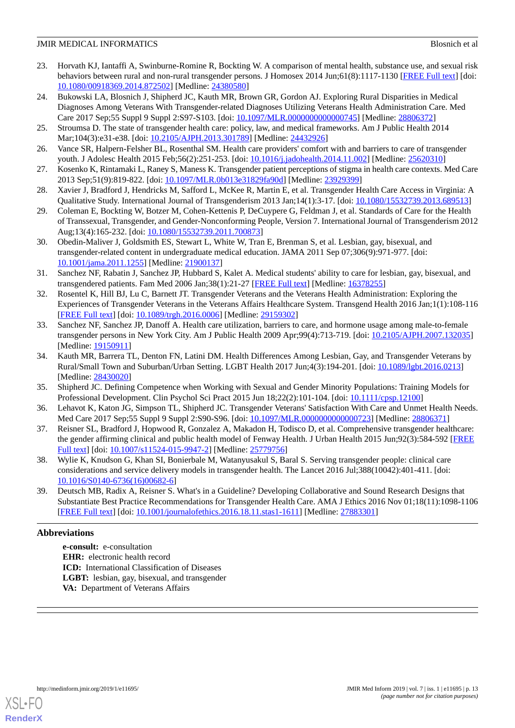- 23. Horvath KJ, Iantaffi A, Swinburne-Romine R, Bockting W. A comparison of mental health, substance use, and sexual risk behaviors between rural and non-rural transgender persons. J Homosex 2014 Jun;61(8):1117-1130 [\[FREE Full text](http://europepmc.org/abstract/MED/24380580)] [doi: [10.1080/00918369.2014.872502\]](http://dx.doi.org/10.1080/00918369.2014.872502) [Medline: [24380580\]](http://www.ncbi.nlm.nih.gov/entrez/query.fcgi?cmd=Retrieve&db=PubMed&list_uids=24380580&dopt=Abstract)
- <span id="page-12-0"></span>24. Bukowski LA, Blosnich J, Shipherd JC, Kauth MR, Brown GR, Gordon AJ. Exploring Rural Disparities in Medical Diagnoses Among Veterans With Transgender-related Diagnoses Utilizing Veterans Health Administration Care. Med Care 2017 Sep;55 Suppl 9 Suppl 2:S97-S103. [doi: [10.1097/MLR.0000000000000745\]](http://dx.doi.org/10.1097/MLR.0000000000000745) [Medline: [28806372\]](http://www.ncbi.nlm.nih.gov/entrez/query.fcgi?cmd=Retrieve&db=PubMed&list_uids=28806372&dopt=Abstract)
- <span id="page-12-1"></span>25. Stroumsa D. The state of transgender health care: policy, law, and medical frameworks. Am J Public Health 2014 Mar;104(3):e31-e38. [doi: [10.2105/AJPH.2013.301789](http://dx.doi.org/10.2105/AJPH.2013.301789)] [Medline: [24432926\]](http://www.ncbi.nlm.nih.gov/entrez/query.fcgi?cmd=Retrieve&db=PubMed&list_uids=24432926&dopt=Abstract)
- 26. Vance SR, Halpern-Felsher BL, Rosenthal SM. Health care providers' comfort with and barriers to care of transgender youth. J Adolesc Health 2015 Feb;56(2):251-253. [doi: [10.1016/j.jadohealth.2014.11.002](http://dx.doi.org/10.1016/j.jadohealth.2014.11.002)] [Medline: [25620310](http://www.ncbi.nlm.nih.gov/entrez/query.fcgi?cmd=Retrieve&db=PubMed&list_uids=25620310&dopt=Abstract)]
- <span id="page-12-2"></span>27. Kosenko K, Rintamaki L, Raney S, Maness K. Transgender patient perceptions of stigma in health care contexts. Med Care 2013 Sep;51(9):819-822. [doi: [10.1097/MLR.0b013e31829fa90d\]](http://dx.doi.org/10.1097/MLR.0b013e31829fa90d) [Medline: [23929399](http://www.ncbi.nlm.nih.gov/entrez/query.fcgi?cmd=Retrieve&db=PubMed&list_uids=23929399&dopt=Abstract)]
- <span id="page-12-3"></span>28. Xavier J, Bradford J, Hendricks M, Safford L, McKee R, Martin E, et al. Transgender Health Care Access in Virginia: A Qualitative Study. International Journal of Transgenderism 2013 Jan;14(1):3-17. [doi: [10.1080/15532739.2013.689513\]](http://dx.doi.org/10.1080/15532739.2013.689513)
- <span id="page-12-4"></span>29. Coleman E, Bockting W, Botzer M, Cohen-Kettenis P, DeCuypere G, Feldman J, et al. Standards of Care for the Health of Transsexual, Transgender, and Gender-Nonconforming People, Version 7. International Journal of Transgenderism 2012 Aug;13(4):165-232. [doi: [10.1080/15532739.2011.700873\]](http://dx.doi.org/10.1080/15532739.2011.700873)
- <span id="page-12-5"></span>30. Obedin-Maliver J, Goldsmith ES, Stewart L, White W, Tran E, Brenman S, et al. Lesbian, gay, bisexual, and transgender-related content in undergraduate medical education. JAMA 2011 Sep 07;306(9):971-977. [doi: [10.1001/jama.2011.1255](http://dx.doi.org/10.1001/jama.2011.1255)] [Medline: [21900137](http://www.ncbi.nlm.nih.gov/entrez/query.fcgi?cmd=Retrieve&db=PubMed&list_uids=21900137&dopt=Abstract)]
- <span id="page-12-6"></span>31. Sanchez NF, Rabatin J, Sanchez JP, Hubbard S, Kalet A. Medical students' ability to care for lesbian, gay, bisexual, and transgendered patients. Fam Med 2006 Jan;38(1):21-27 [\[FREE Full text\]](http://www.stfm.org/fmhub/fm2006/January/Nelson21.pdf) [Medline: [16378255\]](http://www.ncbi.nlm.nih.gov/entrez/query.fcgi?cmd=Retrieve&db=PubMed&list_uids=16378255&dopt=Abstract)
- <span id="page-12-7"></span>32. Rosentel K, Hill BJ, Lu C, Barnett JT. Transgender Veterans and the Veterans Health Administration: Exploring the Experiences of Transgender Veterans in the Veterans Affairs Healthcare System. Transgend Health 2016 Jan;1(1):108-116 [[FREE Full text](http://europepmc.org/abstract/MED/29159302)] [doi: [10.1089/trgh.2016.0006\]](http://dx.doi.org/10.1089/trgh.2016.0006) [Medline: [29159302\]](http://www.ncbi.nlm.nih.gov/entrez/query.fcgi?cmd=Retrieve&db=PubMed&list_uids=29159302&dopt=Abstract)
- <span id="page-12-8"></span>33. Sanchez NF, Sanchez JP, Danoff A. Health care utilization, barriers to care, and hormone usage among male-to-female transgender persons in New York City. Am J Public Health 2009 Apr;99(4):713-719. [doi: [10.2105/AJPH.2007.132035\]](http://dx.doi.org/10.2105/AJPH.2007.132035) [Medline: [19150911](http://www.ncbi.nlm.nih.gov/entrez/query.fcgi?cmd=Retrieve&db=PubMed&list_uids=19150911&dopt=Abstract)]
- <span id="page-12-10"></span><span id="page-12-9"></span>34. Kauth MR, Barrera TL, Denton FN, Latini DM. Health Differences Among Lesbian, Gay, and Transgender Veterans by Rural/Small Town and Suburban/Urban Setting. LGBT Health 2017 Jun;4(3):194-201. [doi: [10.1089/lgbt.2016.0213\]](http://dx.doi.org/10.1089/lgbt.2016.0213) [Medline: [28430020](http://www.ncbi.nlm.nih.gov/entrez/query.fcgi?cmd=Retrieve&db=PubMed&list_uids=28430020&dopt=Abstract)]
- <span id="page-12-11"></span>35. Shipherd JC. Defining Competence when Working with Sexual and Gender Minority Populations: Training Models for Professional Development. Clin Psychol Sci Pract 2015 Jun 18;22(2):101-104. [doi: [10.1111/cpsp.12100](http://dx.doi.org/10.1111/cpsp.12100)]
- 36. Lehavot K, Katon JG, Simpson TL, Shipherd JC. Transgender Veterans' Satisfaction With Care and Unmet Health Needs. Med Care 2017 Sep;55 Suppl 9 Suppl 2:S90-S96. [doi: [10.1097/MLR.0000000000000723\]](http://dx.doi.org/10.1097/MLR.0000000000000723) [Medline: [28806371](http://www.ncbi.nlm.nih.gov/entrez/query.fcgi?cmd=Retrieve&db=PubMed&list_uids=28806371&dopt=Abstract)]
- <span id="page-12-12"></span>37. Reisner SL, Bradford J, Hopwood R, Gonzalez A, Makadon H, Todisco D, et al. Comprehensive transgender healthcare: the gender affirming clinical and public health model of Fenway Health. J Urban Health 2015 Jun;92(3):584-592 [[FREE](http://europepmc.org/abstract/MED/25779756) [Full text\]](http://europepmc.org/abstract/MED/25779756) [doi: [10.1007/s11524-015-9947-2](http://dx.doi.org/10.1007/s11524-015-9947-2)] [Medline: [25779756](http://www.ncbi.nlm.nih.gov/entrez/query.fcgi?cmd=Retrieve&db=PubMed&list_uids=25779756&dopt=Abstract)]
- 38. Wylie K, Knudson G, Khan SI, Bonierbale M, Watanyusakul S, Baral S. Serving transgender people: clinical care considerations and service delivery models in transgender health. The Lancet 2016 Jul;388(10042):401-411. [doi: [10.1016/S0140-6736\(16\)00682-6\]](http://dx.doi.org/10.1016/S0140-6736(16)00682-6)
- 39. Deutsch MB, Radix A, Reisner S. What's in a Guideline? Developing Collaborative and Sound Research Designs that Substantiate Best Practice Recommendations for Transgender Health Care. AMA J Ethics 2016 Nov 01;18(11):1098-1106 [[FREE Full text](http://journalofethics.ama-assn.org/2016/11/stas1-1611.html)] [doi: [10.1001/journalofethics.2016.18.11.stas1-1611](http://dx.doi.org/10.1001/journalofethics.2016.18.11.stas1-1611)] [Medline: [27883301\]](http://www.ncbi.nlm.nih.gov/entrez/query.fcgi?cmd=Retrieve&db=PubMed&list_uids=27883301&dopt=Abstract)

# **Abbreviations**

**e-consult:** e-consultation **EHR:** electronic health record **ICD:** International Classification of Diseases **LGBT:** lesbian, gay, bisexual, and transgender **VA:** Department of Veterans Affairs